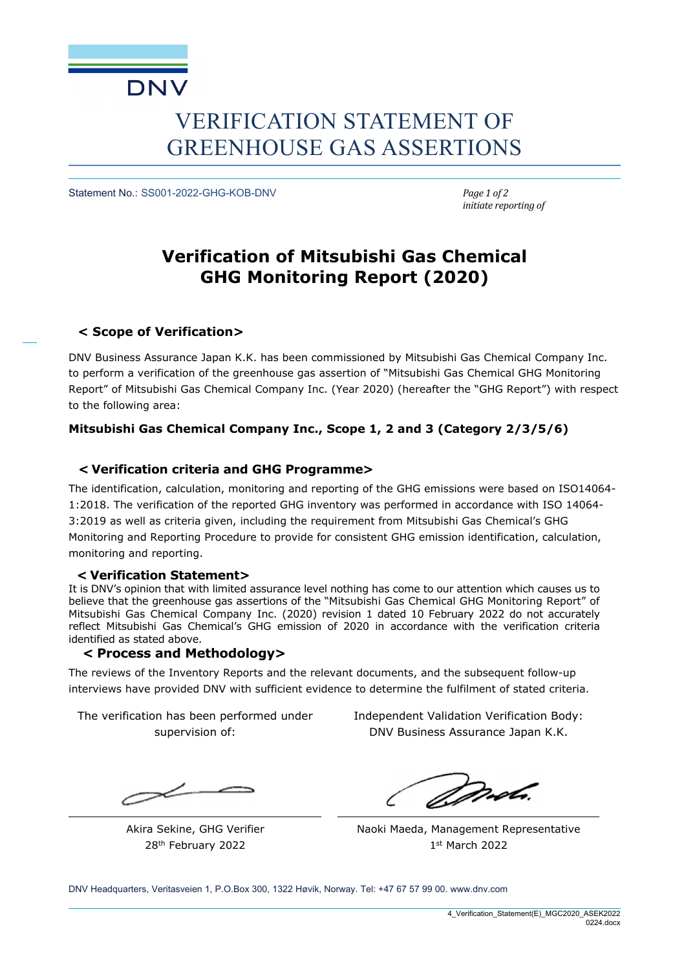

# VERIFICATION STATEMENT OF GREENHOUSE GAS ASSERTIONS

Statement No.: SS001-2022-GHG-KOB-DNV *Page 1 of 2*

*initiate reporting of*

## **Verification of Mitsubishi Gas Chemical GHG Monitoring Report (2020)**

### **< Scope of Verification>**

DNV Business Assurance Japan K.K. has been commissioned by Mitsubishi Gas Chemical Company Inc. to perform a verification of the greenhouse gas assertion of "Mitsubishi Gas Chemical GHG Monitoring Report" of Mitsubishi Gas Chemical Company Inc. (Year 2020) (hereafter the "GHG Report") with respect to the following area:

### **Mitsubishi Gas Chemical Company Inc., Scope 1, 2 and 3 (Category 2/3/5/6)**

### **< Verification criteria and GHG Programme>**

The identification, calculation, monitoring and reporting of the GHG emissions were based on ISO14064- 1:2018. The verification of the reported GHG inventory was performed in accordance with ISO 14064- 3:2019 as well as criteria given, including the requirement from Mitsubishi Gas Chemical's GHG Monitoring and Reporting Procedure to provide for consistent GHG emission identification, calculation, monitoring and reporting.

### **< Verification Statement>**

It is DNV's opinion that with limited assurance level nothing has come to our attention which causes us to believe that the greenhouse gas assertions of the "Mitsubishi Gas Chemical GHG Monitoring Report" of Mitsubishi Gas Chemical Company Inc. (2020) revision 1 dated 10 February 2022 do not accurately reflect Mitsubishi Gas Chemical's GHG emission of 2020 in accordance with the verification criteria identified as stated above.

### **< Process and Methodology>**

The reviews of the Inventory Reports and the relevant documents, and the subsequent follow-up interviews have provided DNV with sufficient evidence to determine the fulfilment of stated criteria.

The verification has been performed under supervision of:

Akira Sekine, GHG Verifier 28th February 2022

Independent Validation Verification Body: DNV Business Assurance Japan K.K.

*Dorob*.

Naoki Maeda, Management Representative 1st March 2022

DNV Headquarters, Veritasveien 1, P.O.Box 300, 1322 Høvik, Norway. Tel: +47 67 57 99 00. www.dnv.com